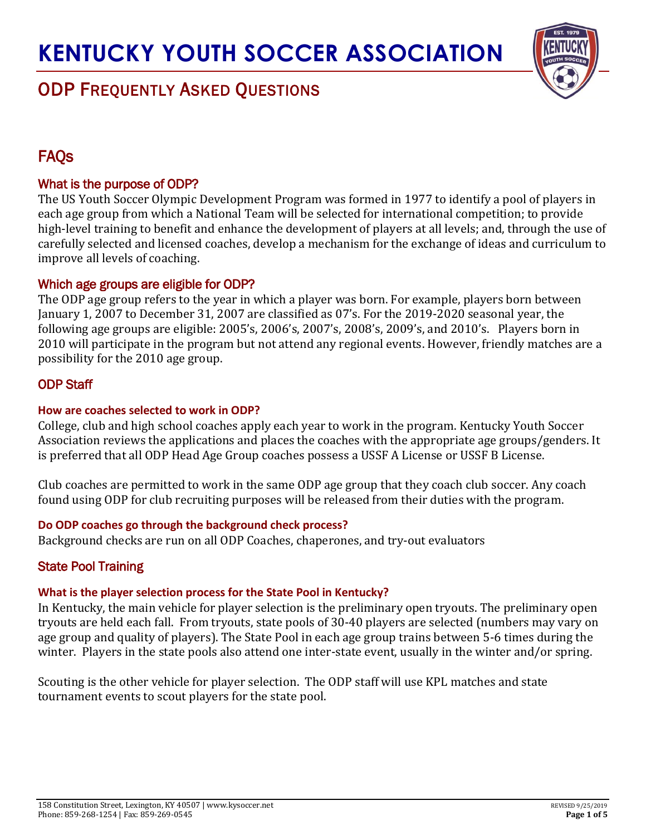

# ODP FREQUENTLY ASKED QUESTIONS

# **FAOs**

# What is the purpose of ODP?

The US Youth Soccer Olympic Development Program was formed in 1977 to identify a pool of players in each age group from which a National Team will be selected for international competition; to provide high-level training to benefit and enhance the development of players at all levels; and, through the use of carefully selected and licensed coaches, develop a mechanism for the exchange of ideas and curriculum to improve all levels of coaching.

## Which age groups are eligible for ODP?

The ODP age group refers to the year in which a player was born. For example, players born between January 1, 2007 to December 31, 2007 are classified as 07's. For the 2019-2020 seasonal year, the following age groups are eligible: 2005's, 2006's, 2007's, 2008's, 2009's, and 2010's. Players born in 2010 will participate in the program but not attend any regional events. However, friendly matches are a possibility for the 2010 age group.

# ODP Staff

## **How are coaches selected to work in ODP?**

College, club and high school coaches apply each year to work in the program. Kentucky Youth Soccer Association reviews the applications and places the coaches with the appropriate age groups/genders. It is preferred that all ODP Head Age Group coaches possess a USSF A License or USSF B License.

Club coaches are permitted to work in the same ODP age group that they coach club soccer. Any coach found using ODP for club recruiting purposes will be released from their duties with the program.

## **Do ODP coaches go through the background check process?**

Background checks are run on all ODP Coaches, chaperones, and try-out evaluators

# State Pool Training

## **What is the player selection process for the State Pool in Kentucky?**

In Kentucky, the main vehicle for player selection is the preliminary open tryouts. The preliminary open tryouts are held each fall. From tryouts, state pools of 30-40 players are selected (numbers may vary on age group and quality of players). The State Pool in each age group trains between 5-6 times during the winter. Players in the state pools also attend one inter-state event, usually in the winter and/or spring.

Scouting is the other vehicle for player selection. The ODP staff will use KPL matches and state tournament events to scout players for the state pool.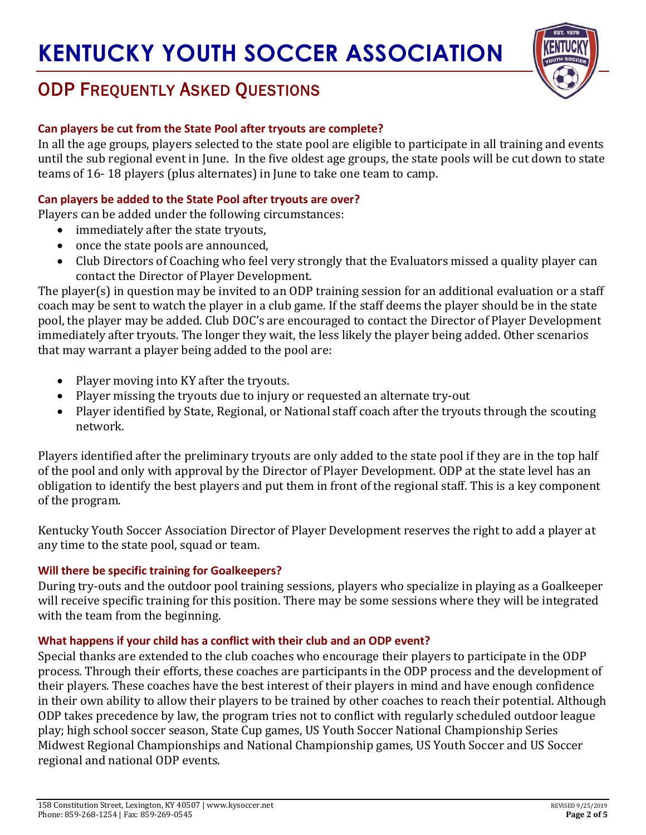

# ODP FREQUENTLY ASKED QUESTIONS

### **Can players be cut from the State Pool after tryouts are complete?**

In all the age groups, players selected to the state pool are eligible to participate in all training and events until the sub regional event in June. In the five oldest age groups, the state pools will be cut down to state teams of 16- 18 players (plus alternates) in June to take one team to camp.

#### **Can players be added to the State Pool after tryouts are over?**

Players can be added under the following circumstances:

- immediately after the state tryouts,
- once the state pools are announced,
- Club Directors of Coaching who feel very strongly that the Evaluators missed a quality player can contact the Director of Player Development.

The player(s) in question may be invited to an ODP training session for an additional evaluation or a staff coach may be sent to watch the player in a club game. If the staff deems the player should be in the state pool, the player may be added. Club DOC's are encouraged to contact the Director of Player Development immediately after tryouts. The longer they wait, the less likely the player being added. Other scenarios that may warrant a player being added to the pool are:

- Player moving into KY after the tryouts.
- Player missing the tryouts due to injury or requested an alternate try-out
- Player identified by State, Regional, or National staff coach after the tryouts through the scouting network.

Players identified after the preliminary tryouts are only added to the state pool if they are in the top half of the pool and only with approval by the Director of Player Development. ODP at the state level has an obligation to identify the best players and put them in front of the regional staff. This is a key component of the program.

Kentucky Youth Soccer Association Director of Player Development reserves the right to add a player at any time to the state pool, squad or team.

## **Will there be specific training for Goalkeepers?**

During try-outs and the outdoor pool training sessions, players who specialize in playing as a Goalkeeper will receive specific training for this position. There may be some sessions where they will be integrated with the team from the beginning.

#### **What happens if your child has a conflict with their club and an ODP event?**

Special thanks are extended to the club coaches who encourage their players to participate in the ODP process. Through their efforts, these coaches are participants in the ODP process and the development of their players. These coaches have the best interest of their players in mind and have enough confidence in their own ability to allow their players to be trained by other coaches to reach their potential. Although ODP takes precedence by law, the program tries not to conflict with regularly scheduled outdoor league play; high school soccer season, State Cup games, US Youth Soccer National Championship Series Midwest Regional Championships and National Championship games, US Youth Soccer and US Soccer regional and national ODP events.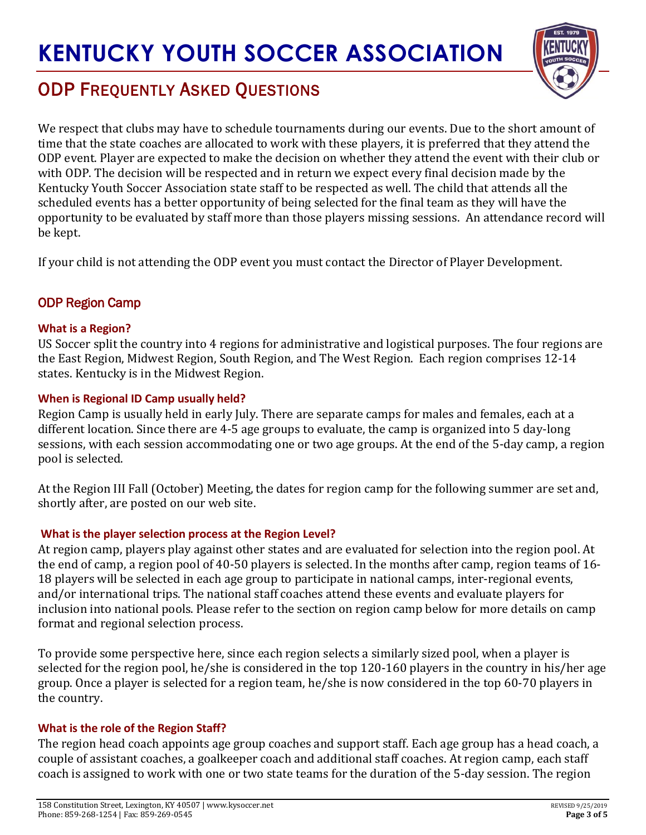

# ODP FREQUENTLY ASKED QUESTIONS

We respect that clubs may have to schedule tournaments during our events. Due to the short amount of time that the state coaches are allocated to work with these players, it is preferred that they attend the ODP event. Player are expected to make the decision on whether they attend the event with their club or with ODP. The decision will be respected and in return we expect every final decision made by the Kentucky Youth Soccer Association state staff to be respected as well. The child that attends all the scheduled events has a better opportunity of being selected for the final team as they will have the opportunity to be evaluated by staff more than those players missing sessions. An attendance record will be kept.

If your child is not attending the ODP event you must contact the Director of Player Development.

## ODP Region Camp

#### **What is a Region?**

US Soccer split the country into 4 regions for administrative and logistical purposes. The four regions are the East Region, Midwest Region, South Region, and The West Region. Each region comprises 12-14 states. Kentucky is in the Midwest Region.

#### **When is Regional ID Camp usually held?**

Region Camp is usually held in early July. There are separate camps for males and females, each at a different location. Since there are 4-5 age groups to evaluate, the camp is organized into 5 day-long sessions, with each session accommodating one or two age groups. At the end of the 5-day camp, a region pool is selected.

At the Region III Fall (October) Meeting, the dates for region camp for the following summer are set and, shortly after, are posted on our web site.

#### **What is the player selection process at the Region Level?**

At region camp, players play against other states and are evaluated for selection into the region pool. At the end of camp, a region pool of 40-50 players is selected. In the months after camp, region teams of 16- 18 players will be selected in each age group to participate in national camps, inter-regional events, and/or international trips. The national staff coaches attend these events and evaluate players for inclusion into national pools. Please refer to the section on region camp below for more details on camp format and regional selection process.

To provide some perspective here, since each region selects a similarly sized pool, when a player is selected for the region pool, he/she is considered in the top 120-160 players in the country in his/her age group. Once a player is selected for a region team, he/she is now considered in the top 60-70 players in the country.

#### **What is the role of the Region Staff?**

The region head coach appoints age group coaches and support staff. Each age group has a head coach, a couple of assistant coaches, a goalkeeper coach and additional staff coaches. At region camp, each staff coach is assigned to work with one or two state teams for the duration of the 5-day session. The region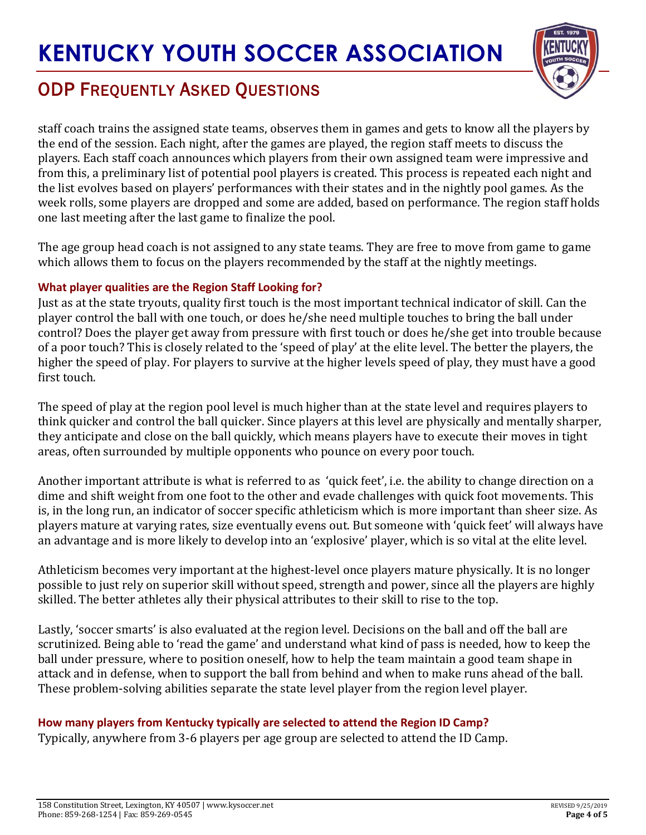

# ODP FREQUENTLY ASKED QUESTIONS

staff coach trains the assigned state teams, observes them in games and gets to know all the players by the end of the session. Each night, after the games are played, the region staff meets to discuss the players. Each staff coach announces which players from their own assigned team were impressive and from this, a preliminary list of potential pool players is created. This process is repeated each night and the list evolves based on players' performances with their states and in the nightly pool games. As the week rolls, some players are dropped and some are added, based on performance. The region staff holds one last meeting after the last game to finalize the pool.

The age group head coach is not assigned to any state teams. They are free to move from game to game which allows them to focus on the players recommended by the staff at the nightly meetings.

### **What player qualities are the Region Staff Looking for?**

Just as at the state tryouts, quality first touch is the most important technical indicator of skill. Can the player control the ball with one touch, or does he/she need multiple touches to bring the ball under control? Does the player get away from pressure with first touch or does he/she get into trouble because of a poor touch? This is closely related to the 'speed of play' at the elite level. The better the players, the higher the speed of play. For players to survive at the higher levels speed of play, they must have a good first touch.

The speed of play at the region pool level is much higher than at the state level and requires players to think quicker and control the ball quicker. Since players at this level are physically and mentally sharper, they anticipate and close on the ball quickly, which means players have to execute their moves in tight areas, often surrounded by multiple opponents who pounce on every poor touch.

Another important attribute is what is referred to as 'quick feet', i.e. the ability to change direction on a dime and shift weight from one foot to the other and evade challenges with quick foot movements. This is, in the long run, an indicator of soccer specific athleticism which is more important than sheer size. As players mature at varying rates, size eventually evens out. But someone with 'quick feet' will always have an advantage and is more likely to develop into an 'explosive' player, which is so vital at the elite level.

Athleticism becomes very important at the highest-level once players mature physically. It is no longer possible to just rely on superior skill without speed, strength and power, since all the players are highly skilled. The better athletes ally their physical attributes to their skill to rise to the top.

Lastly, 'soccer smarts' is also evaluated at the region level. Decisions on the ball and off the ball are scrutinized. Being able to 'read the game' and understand what kind of pass is needed, how to keep the ball under pressure, where to position oneself, how to help the team maintain a good team shape in attack and in defense, when to support the ball from behind and when to make runs ahead of the ball. These problem-solving abilities separate the state level player from the region level player.

## **How many players from Kentucky typically are selected to attend the Region ID Camp?**

Typically, anywhere from 3-6 players per age group are selected to attend the ID Camp.